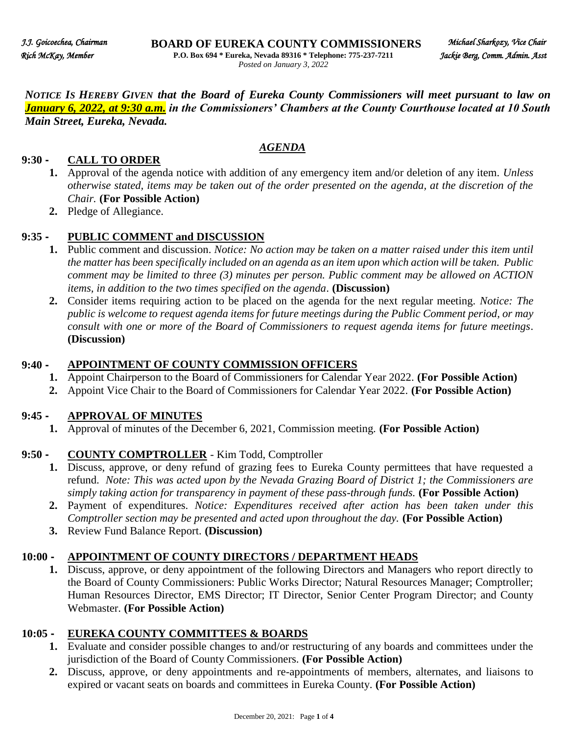*NOTICE IS HEREBY GIVEN that the Board of Eureka County Commissioners will meet pursuant to law on January 6, 2022, at 9:30 a.m. in the Commissioners' Chambers at the County Courthouse located at 10 South Main Street, Eureka, Nevada.* 

## *AGENDA AGENDA*

#### **9:30 - CALL TO ORDER**

- **1.** Approval of the agenda notice with addition of any emergency item and/or deletion of any item. *Unless otherwise stated, items may be taken out of the order presented on the agenda, at the discretion of the Chair.* **(For Possible Action)**
- **2.** Pledge of Allegiance.

## **9:35 - PUBLIC COMMENT and DISCUSSION**

- **1.** Public comment and discussion. *Notice: No action may be taken on a matter raised under this item until the matter has been specifically included on an agenda as an item upon which action will be taken. Public comment may be limited to three (3) minutes per person. Public comment may be allowed on ACTION items, in addition to the two times specified on the agenda*. **(Discussion)**
- **2.** Consider items requiring action to be placed on the agenda for the next regular meeting. *Notice: The public is welcome to request agenda items for future meetings during the Public Comment period, or may consult with one or more of the Board of Commissioners to request agenda items for future meetings*. **(Discussion)**

#### **9:40 - APPOINTMENT OF COUNTY COMMISSION OFFICERS**

- **1.** Appoint Chairperson to the Board of Commissioners for Calendar Year 2022. **(For Possible Action)**
- **2.** Appoint Vice Chair to the Board of Commissioners for Calendar Year 2022. **(For Possible Action)**

## **9:45 - APPROVAL OF MINUTES**

**1.** Approval of minutes of the December 6, 2021, Commission meeting. **(For Possible Action)**

## **9:50 - COUNTY COMPTROLLER** - Kim Todd, Comptroller

- **1.** Discuss, approve, or deny refund of grazing fees to Eureka County permittees that have requested a refund. *Note: This was acted upon by the Nevada Grazing Board of District 1; the Commissioners are simply taking action for transparency in payment of these pass-through funds.* **(For Possible Action)**
- **2.** Payment of expenditures. *Notice: Expenditures received after action has been taken under this Comptroller section may be presented and acted upon throughout the day.* **(For Possible Action)**
- **3.** Review Fund Balance Report. **(Discussion)**

## **10:00 - APPOINTMENT OF COUNTY DIRECTORS / DEPARTMENT HEADS**

**1.** Discuss, approve, or deny appointment of the following Directors and Managers who report directly to the Board of County Commissioners: Public Works Director; Natural Resources Manager; Comptroller; Human Resources Director, EMS Director; IT Director, Senior Center Program Director; and County Webmaster. **(For Possible Action)**

## **10:05 - EUREKA COUNTY COMMITTEES & BOARDS**

- **1.** Evaluate and consider possible changes to and/or restructuring of any boards and committees under the jurisdiction of the Board of County Commissioners. **(For Possible Action)**
- **2.** Discuss, approve, or deny appointments and re-appointments of members, alternates, and liaisons to expired or vacant seats on boards and committees in Eureka County. **(For Possible Action)**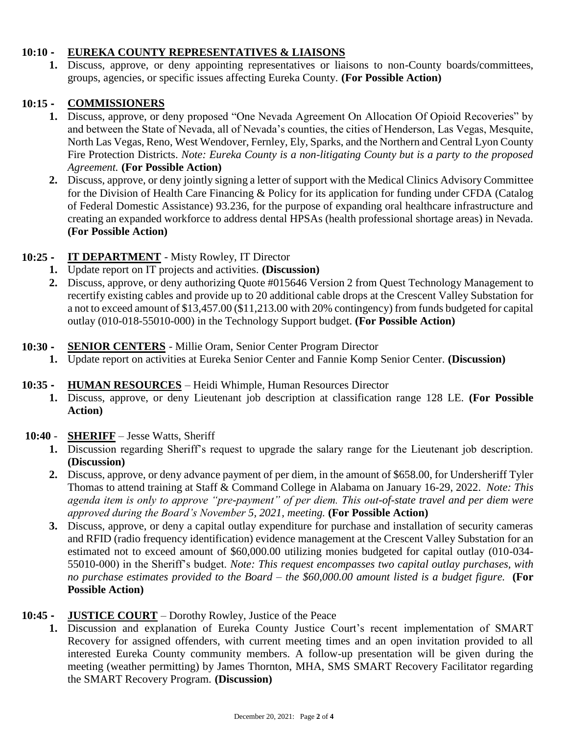#### **10:10 - EUREKA COUNTY REPRESENTATIVES & LIAISONS**

**1.** Discuss, approve, or deny appointing representatives or liaisons to non-County boards/committees, groups, agencies, or specific issues affecting Eureka County. **(For Possible Action)**

#### **10:15 - COMMISSIONERS**

- **1.** Discuss, approve, or deny proposed "One Nevada Agreement On Allocation Of Opioid Recoveries" by and between the State of Nevada, all of Nevada's counties, the cities of Henderson, Las Vegas, Mesquite, North Las Vegas, Reno, West Wendover, Fernley, Ely, Sparks, and the Northern and Central Lyon County Fire Protection Districts. *Note: Eureka County is a non-litigating County but is a party to the proposed Agreement.* **(For Possible Action)**
- **2.** Discuss, approve, or deny jointly signing a letter of support with the Medical Clinics Advisory Committee for the Division of Health Care Financing & Policy for its application for funding under CFDA (Catalog of Federal Domestic Assistance) 93.236, for the purpose of expanding oral healthcare infrastructure and creating an expanded workforce to address dental HPSAs (health professional shortage areas) in Nevada. **(For Possible Action)**

## **10:25 - IT DEPARTMENT** - Misty Rowley, IT Director

- **1.** Update report on IT projects and activities. **(Discussion)**
- **2.** Discuss, approve, or deny authorizing Quote #015646 Version 2 from Quest Technology Management to recertify existing cables and provide up to 20 additional cable drops at the Crescent Valley Substation for a not to exceed amount of \$13,457.00 (\$11,213.00 with 20% contingency) from funds budgeted for capital outlay (010-018-55010-000) in the Technology Support budget. **(For Possible Action)**

#### **10:30 - SENIOR CENTERS** - Millie Oram, Senior Center Program Director

**1.** Update report on activities at Eureka Senior Center and Fannie Komp Senior Center. **(Discussion)**

## **10:35 - HUMAN RESOURCES** – Heidi Whimple, Human Resources Director

**1.** Discuss, approve, or deny Lieutenant job description at classification range 128 LE. **(For Possible Action)** 

#### **10:40** - **SHERIFF** – Jesse Watts, Sheriff

- **1.** Discussion regarding Sheriff's request to upgrade the salary range for the Lieutenant job description. **(Discussion)**
- **2.** Discuss, approve, or deny advance payment of per diem, in the amount of \$658.00, for Undersheriff Tyler Thomas to attend training at Staff & Command College in Alabama on January 16-29, 2022. *Note: This agenda item is only to approve "pre-payment" of per diem. This out-of-state travel and per diem were approved during the Board's November 5, 2021, meeting.* **(For Possible Action)**
- **3.** Discuss, approve, or deny a capital outlay expenditure for purchase and installation of security cameras and RFID (radio frequency identification) evidence management at the Crescent Valley Substation for an estimated not to exceed amount of \$60,000.00 utilizing monies budgeted for capital outlay (010-034- 55010-000) in the Sheriff's budget. *Note: This request encompasses two capital outlay purchases, with no purchase estimates provided to the Board – the \$60,000.00 amount listed is a budget figure.* **(For Possible Action)**

## **10:45 - JUSTICE COURT** – Dorothy Rowley, Justice of the Peace

1. Discussion and explanation of Eureka County Justice Court's recent implementation of SMART Recovery for assigned offenders, with current meeting times and an open invitation provided to all interested Eureka County community members. A follow-up presentation will be given during the meeting (weather permitting) by James Thornton, MHA, SMS SMART Recovery Facilitator regarding the SMART Recovery Program. **(Discussion)**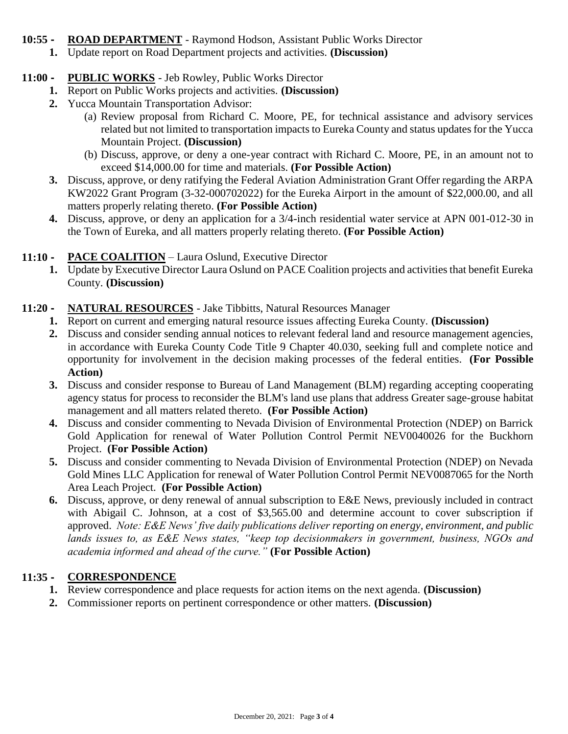#### **10:55 - ROAD DEPARTMENT** - Raymond Hodson, Assistant Public Works Director

**1.** Update report on Road Department projects and activities. **(Discussion)**

## **11:00 - PUBLIC WORKS** - Jeb Rowley, Public Works Director

- **1.** Report on Public Works projects and activities. **(Discussion)**
- **2.** Yucca Mountain Transportation Advisor:
	- (a) Review proposal from Richard C. Moore, PE, for technical assistance and advisory services related but not limited to transportation impacts to Eureka County and status updates for the Yucca Mountain Project. **(Discussion)**
	- (b) Discuss, approve, or deny a one-year contract with Richard C. Moore, PE, in an amount not to exceed \$14,000.00 for time and materials. **(For Possible Action)**
- **3.** Discuss, approve, or deny ratifying the Federal Aviation Administration Grant Offer regarding the ARPA KW2022 Grant Program (3-32-000702022) for the Eureka Airport in the amount of \$22,000.00, and all matters properly relating thereto. **(For Possible Action)**
- **4.** Discuss, approve, or deny an application for a 3/4-inch residential water service at APN 001-012-30 in the Town of Eureka, and all matters properly relating thereto. **(For Possible Action)**

# **11:10 - PACE COALITION** – Laura Oslund, Executive Director

**1.** Update by Executive Director Laura Oslund on PACE Coalition projects and activities that benefit Eureka County. **(Discussion)**

# **11:20 - NATURAL RESOURCES** - Jake Tibbitts, Natural Resources Manager

- **1.** Report on current and emerging natural resource issues affecting Eureka County. **(Discussion)**
- **2.** Discuss and consider sending annual notices to relevant federal land and resource management agencies, in accordance with Eureka County Code Title 9 Chapter 40.030, seeking full and complete notice and opportunity for involvement in the decision making processes of the federal entities. **(For Possible Action)**
- **3.** Discuss and consider response to Bureau of Land Management (BLM) regarding accepting cooperating agency status for process to reconsider the BLM's land use plans that address Greater sage-grouse habitat management and all matters related thereto. **(For Possible Action)**
- **4.** Discuss and consider commenting to Nevada Division of Environmental Protection (NDEP) on Barrick Gold Application for renewal of Water Pollution Control Permit NEV0040026 for the Buckhorn Project. **(For Possible Action)**
- **5.** Discuss and consider commenting to Nevada Division of Environmental Protection (NDEP) on Nevada Gold Mines LLC Application for renewal of Water Pollution Control Permit NEV0087065 for the North Area Leach Project. **(For Possible Action)**
- **6.** Discuss, approve, or deny renewal of annual subscription to E&E News, previously included in contract with Abigail C. Johnson, at a cost of \$3,565.00 and determine account to cover subscription if approved. *Note: E&E News' five daily publications deliver reporting on energy, environment, and public lands issues to, as E&E News states, "keep top decisionmakers in government, business, NGOs and academia informed and ahead of the curve."* **(For Possible Action)**

## **11:35 - CORRESPONDENCE**

- **1.** Review correspondence and place requests for action items on the next agenda. **(Discussion)**
- **2.** Commissioner reports on pertinent correspondence or other matters. **(Discussion)**